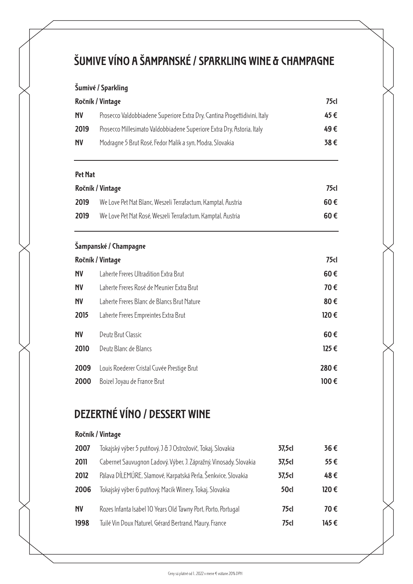## **ŠUMIVE VÍNO A ŠAMPANSKÉ / SPARKLING WINE & CHAMPAGNE**

### **Šumivé / Sparkling**

| Ročník / Vintage |                                                                           | 75cl |
|------------------|---------------------------------------------------------------------------|------|
| <b>NV</b>        | Prosecco Valdobbiadene Superiore Extra Dry, Cantina Progettidivini, Italy | 45€  |
| 2019             | Prosecco Millesimato Valdobbiadene Superiore Extra Dry, Astoria, Italy    | 49€  |
| <b>NV</b>        | Modragne 5 Brut Rosé, Fedor Malik a syn, Modra, Slovakia                  | 38€  |
|                  |                                                                           |      |

#### **Pet Nat**

| Ročník / Vintage |                                                              | 75cl     |
|------------------|--------------------------------------------------------------|----------|
| 2019             | We Love Pet Nat Blanc, Weszeli Terrafactum, Kamptal, Austria | $60 \in$ |
| 2019             | We Love Pet Nat Rosé, Weszeli Terrafactum, Kamptal, Austria  | $60 \in$ |

### **Šampanské / Champagne**

|           | Ročník / Vintage                           | 75 <sub>1</sub> |
|-----------|--------------------------------------------|-----------------|
| <b>NV</b> | Laherte Freres Ultradition Extra Brut      | 60€             |
| <b>NV</b> | Laherte Freres Rosé de Meunier Extra Brut  | 70€             |
| <b>NV</b> | Laherte Freres Blanc de Blancs Brut Nature | 80€             |
| 2015      | Laherte Freres Empreintes Extra Brut       | 120€            |
| <b>NV</b> | Deutz Brut Classic                         | 60€             |
| 2010      | Deutz Blanc de Blancs                      | $125 \in$       |
| 2009      | Louis Roederer Cristal Cuvée Prestige Brut | 280€            |
| 2000      | Boizel Joyau de France Brut                | $100 \in$       |

## **DEZERTNÉ VÍNO / DESSERT WINE**

### **Ročník / Vintage**

| 2007      | Tokajský výber 5 putňový, J & J Ostrožovič, Tokaj, Slovakia       | 37,5cl | 36€  |
|-----------|-------------------------------------------------------------------|--------|------|
| 2011      | Cabernet Sauvugnon Ľadový, Výber, J. Zápražný, Vinosady, Slovakia | 37,5cl | 55€  |
| 2012      | Pálava DÍLEMÚRE, Slamové, Karpatská Perla, Šenkvice, Slovakia     | 37,5cl | 48€  |
| 2006      | Tokajský výber 6 putňový, Macik Winery, Tokaj, Slovakia           | 50cl   | 120€ |
| <b>NV</b> | Rozes Infanta Isabel 10 Years Old Tawny Port, Porto, Portugal     | 75d    | 70€  |
| 1998      | Tuilé Vin Doux Naturel, Gérard Bertrand, Maury, France            | 75d    | 145€ |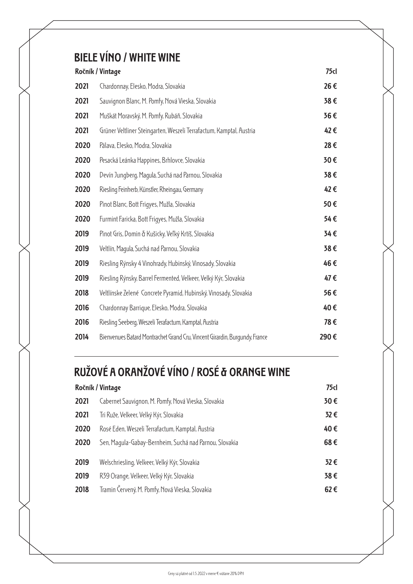## **BIELE VÍNO / WHITE WINE**

|      | Ročník / Vintage                                                           | 75 <sub>1</sub> |
|------|----------------------------------------------------------------------------|-----------------|
| 2021 | Chardonnay, Elesko, Modra, Slovakia                                        | 26€             |
| 2021 | Sauvignon Blanc, M. Pomfy, Nová Vieska, Slovakia                           | 38€             |
| 2021 | Muškát Moravský, M. Pomfy, Rubáň, Slovakia                                 | 36€             |
| 2021 | Grüner Veltliner Steingarten, Weszeli Terrafactum, Kamptal, Austria        | 42€             |
| 2020 | Pálava, Elesko, Modra, Slovakia                                            | 28€             |
| 2020 | Pesacká Leánka Happines, Brhlovce, Slovakia                                | 30€             |
| 2020 | Devín Jungberg, Magula, Suchá nad Parnou, Slovakia                         | 38€             |
| 2020 | Riesling Feinherb, Künstler, Rheingau, Germany                             | 42€             |
| 2020 | Pinot Blanc, Bott Frigyes, Mužla, Slovakia                                 | 50€             |
| 2020 | Furmint Faricka, Bott Frigyes, Mužla, Slovakia                             | 54€             |
| 2019 | Pinot Gris, Domin & Kušicky, Veľký Krtíš, Slovakia                         | 34€             |
| 2019 | Veltlín, Maqula, Suchá nad Parnou, Slovakia                                | 38€             |
| 2019 | Riesling Rýnsky 4 Vinohrady, Hubinský, Vinosady, Slovakia                  | 46€             |
| 2019 | Riesling Rýnsky, Barrel Fermented, Velkeer, Velký Kýr, Slovakia            | 47€             |
| 2018 | Veltlínske Zelené Concrete Pyramid, Hubinský, Vinosady, Slovakia           | 56€             |
| 2016 | Chardonnay Barrique, Elesko, Modra, Slovakia                               | 40€             |
| 2016 | Riesling Seeberg, Weszeli Terafactum, Kamptal, Austria                     | 78€             |
| 2014 | Bienvenues Batard Montrachet Grand Cru, Vincent Girardin, Burgundy, France | 290€            |

# **RUŽOVÉ A ORANŽOVÉ VÍNO / ROSÉ & ORANGE WINE**

|      | Ročník / Vintage                                       | 75 <sub>1</sub> |
|------|--------------------------------------------------------|-----------------|
| 2021 | Cabernet Sauvignon, M. Pomfy, Nová Vieska, Slovakia    | 30€             |
| 2021 | Tri Ruže, Velkeer, Velký Kýr, Slovakia                 | 32€             |
| 2020 | Rosé Eden, Weszeli Terrafactum, Kamptal, Austria       | 40€             |
| 2020 | Sen, Maqula-Gabay-Bernheim, Suchá nad Parnou, Slovakia | 68€             |
| 2019 | Welschriesling, Velkeer, Velký Kýr, Slovakia           | 32€             |
| 2019 | R39 Orange, Velkeer, Velký Kýr, Slovakia               | 38€             |
| 2018 | Tramin Červený, M. Pomfy, Nová Vieska, Slovakia        | 62€             |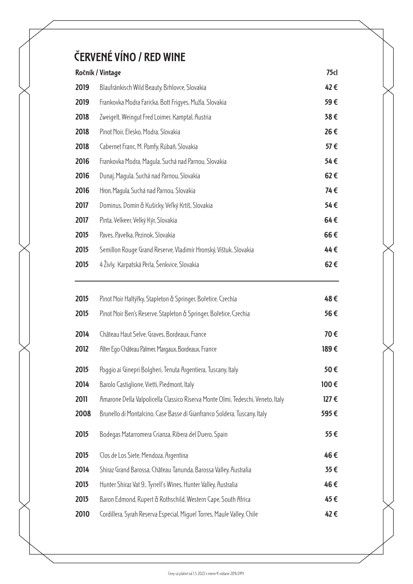# **ČERVENÉ VÍNO / RED WINE**

| Ročník / Vintage |                                                                  | 75 <sub>1</sub> |
|------------------|------------------------------------------------------------------|-----------------|
| 2019             | Blaufränkisch Wild Beauty, Brhlovce, Slovakia                    | 42€             |
| 2019             | Frankovka Modra Faricka, Bott Friqyes, Mužla, Slovakia           | 59€             |
| 2018             | Zweigelt, Weingut Fred Loimer, Kamptal, Austria                  | 38€             |
| 2018             | Pinot Noir, Elesko, Modra, Slovakia                              | 26€             |
| 2018             | Cabernet Franc, M. Pomfy, Rúbaň, Slovakia                        | 57€             |
| 2016             | Frankovka Modra, Maqula, Suchá nad Parnou, Slovakia              | 54€             |
| 2016             | Dunaj, Magula, Suchá nad Parnou, Slovakia                        | 62€             |
| 2016             | Hron, Maqula, Suchá nad Parnou, Slovakia                         | 74€             |
| 2017             | Dominus, Domin & Kušicky, Veľký Krtíš, Slovakia                  | 54€             |
| 2017             | Pinta, Velkeer, Velký Kýr, Slovakia                              | 64€             |
| 2015             | Paves, Pavelka, Pezinok, Slovakia                                | 66€             |
| 2015             | Semillon Rouge Grand Reserve, Vladimír Hronský, Vištuk, Slovakia | 44€             |
| 2015             | 4 Živly, Karpatská Perla, Šenkvice, Slovakia                     | 62€             |
|                  |                                                                  |                 |

| Pinot Noir Haltýřky, Stapleton & Springer, Bořetice, Czechia                    | 48€       |
|---------------------------------------------------------------------------------|-----------|
| Pinot Noir Ben's Reserve, Stapleton & Springer, Bořetice, Czechia               | 56€       |
| Château Haut Selve, Graves, Bordeaux, France                                    | 70€       |
| Alter Eqo Château Palmer, Margaux, Bordeaux, France                             | 189€      |
| Poggio ai Ginepri Bolgheri, Tenuta Argentiera, Tuscany, Italy                   | 50€       |
| Barolo Castiglione, Vietti, Piedmont, Italy                                     | 100€      |
| Amarone Della Valpolicella Classico Riserva Monte Olmi, Tedeschi, Veneto, Italy | $127 \in$ |
| Brunello di Montalcino, Case Basse di Gianfranco Soldera, Tuscany, Italy        | 595€      |
| Bodegas Matarromera Crianza, Ribera del Duero, Spain                            | 55€       |
| Clos de Los Siete, Mendoza, Argentina                                           | 46€       |
| Shiraz Grand Barossa, Château Tanunda, Barossa Valley, Australia                | 35€       |
| Hunter Shiraz Vat 9., Tyrrell's Wines, Hunter Valley, Australia                 | 46€       |
| Baron Edmond, Rupert & Rothschild, Western Cape, South Africa                   | 45€       |
| Cordillera, Syrah Reserva Especial, Miquel Torres, Maule Valley, Chile          | 42€       |
|                                                                                 |           |